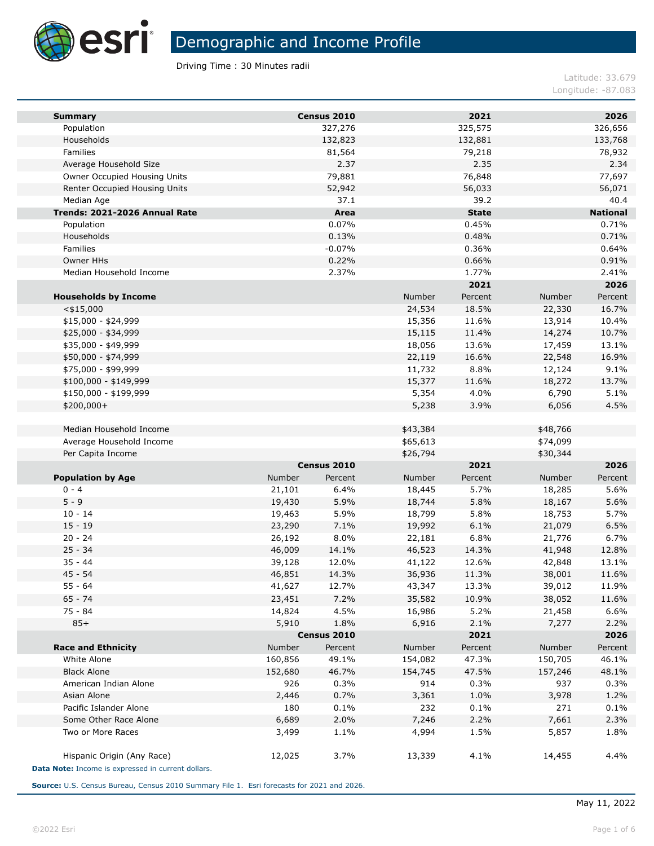

Driving Time : 30 Minutes radii

Latitude: 33.679 Longitude: -87.083

| <b>Summary</b>                                                                   |         | Census 2010 |          | 2021         |          | 2026            |
|----------------------------------------------------------------------------------|---------|-------------|----------|--------------|----------|-----------------|
| Population                                                                       |         | 327,276     |          | 325,575      |          | 326,656         |
| Households                                                                       |         | 132,823     |          | 132,881      |          | 133,768         |
| Families                                                                         |         | 81,564      |          | 79,218       |          | 78,932          |
| Average Household Size                                                           |         | 2.37        |          | 2.35         |          | 2.34            |
| Owner Occupied Housing Units                                                     |         | 79,881      |          | 76,848       |          | 77,697          |
| Renter Occupied Housing Units                                                    |         | 52,942      |          | 56,033       |          | 56,071          |
| Median Age                                                                       |         | 37.1        |          | 39.2         |          | 40.4            |
| Trends: 2021-2026 Annual Rate                                                    |         | Area        |          | <b>State</b> |          | <b>National</b> |
| Population                                                                       |         | 0.07%       |          | 0.45%        |          | 0.71%           |
| Households                                                                       |         | 0.13%       |          | 0.48%        |          | 0.71%           |
| Families                                                                         |         | $-0.07%$    |          | 0.36%        |          | 0.64%           |
| Owner HHs                                                                        |         | 0.22%       |          | 0.66%        |          | 0.91%           |
| Median Household Income                                                          |         | 2.37%       |          | 1.77%        |          | 2.41%           |
|                                                                                  |         |             |          | 2021         |          | 2026            |
| <b>Households by Income</b>                                                      |         |             | Number   | Percent      | Number   | Percent         |
| $<$ \$15,000                                                                     |         |             | 24,534   | 18.5%        | 22,330   | 16.7%           |
| $$15,000 - $24,999$                                                              |         |             | 15,356   | 11.6%        | 13,914   | 10.4%           |
| \$25,000 - \$34,999                                                              |         |             | 15,115   | 11.4%        | 14,274   | 10.7%           |
| \$35,000 - \$49,999                                                              |         |             | 18,056   | 13.6%        | 17,459   | 13.1%           |
| \$50,000 - \$74,999                                                              |         |             | 22,119   | 16.6%        | 22,548   | 16.9%           |
| \$75,000 - \$99,999                                                              |         |             | 11,732   | 8.8%         | 12,124   | 9.1%            |
| $$100,000 - $149,999$                                                            |         |             | 15,377   | 11.6%        | 18,272   | 13.7%           |
| \$150,000 - \$199,999                                                            |         |             | 5,354    | 4.0%         | 6,790    | 5.1%            |
| \$200,000+                                                                       |         |             | 5,238    | 3.9%         | 6,056    | 4.5%            |
| Median Household Income                                                          |         |             | \$43,384 |              | \$48,766 |                 |
| Average Household Income                                                         |         |             | \$65,613 |              | \$74,099 |                 |
| Per Capita Income                                                                |         |             | \$26,794 |              | \$30,344 |                 |
|                                                                                  |         | Census 2010 |          | 2021         |          | 2026            |
| <b>Population by Age</b>                                                         | Number  | Percent     | Number   | Percent      | Number   | Percent         |
| $0 - 4$                                                                          | 21,101  | 6.4%        | 18,445   | 5.7%         | 18,285   | 5.6%            |
| $5 - 9$                                                                          | 19,430  | 5.9%        | 18,744   | 5.8%         | 18,167   | 5.6%            |
| $10 - 14$                                                                        | 19,463  | 5.9%        | 18,799   | 5.8%         | 18,753   | 5.7%            |
| $15 - 19$                                                                        | 23,290  | 7.1%        | 19,992   | 6.1%         | 21,079   | 6.5%            |
| $20 - 24$                                                                        | 26,192  | 8.0%        | 22,181   | 6.8%         | 21,776   | 6.7%            |
| $25 - 34$                                                                        | 46,009  | 14.1%       | 46,523   | 14.3%        | 41,948   | 12.8%           |
| $35 - 44$                                                                        | 39,128  | 12.0%       | 41,122   | 12.6%        | 42,848   | 13.1%           |
| $45 - 54$                                                                        | 46,851  | 14.3%       | 36,936   | 11.3%        | 38,001   | 11.6%           |
| 55 - 64                                                                          | 41,627  | 12.7%       | 43,347   | 13.3%        | 39,012   | 11.9%           |
| $65 - 74$                                                                        | 23,451  | 7.2%        | 35,582   | 10.9%        | 38,052   | 11.6%           |
| 75 - 84                                                                          | 14,824  | 4.5%        | 16,986   | 5.2%         | 21,458   | 6.6%            |
| $85+$                                                                            | 5,910   | 1.8%        | 6,916    | 2.1%         | 7,277    | 2.2%            |
|                                                                                  |         | Census 2010 |          | 2021         |          | 2026            |
| <b>Race and Ethnicity</b>                                                        | Number  | Percent     | Number   | Percent      | Number   | Percent         |
| White Alone                                                                      | 160,856 | 49.1%       | 154,082  | 47.3%        | 150,705  | 46.1%           |
| <b>Black Alone</b>                                                               | 152,680 | 46.7%       | 154,745  | 47.5%        | 157,246  | 48.1%           |
| American Indian Alone                                                            | 926     | 0.3%        | 914      | 0.3%         | 937      | 0.3%            |
| Asian Alone                                                                      | 2,446   | 0.7%        | 3,361    | 1.0%         | 3,978    | 1.2%            |
| Pacific Islander Alone                                                           | 180     | 0.1%        | 232      | 0.1%         | 271      | 0.1%            |
| Some Other Race Alone                                                            | 6,689   | 2.0%        | 7,246    | 2.2%         | 7,661    | 2.3%            |
| Two or More Races                                                                | 3,499   | 1.1%        | 4,994    | 1.5%         | 5,857    | 1.8%            |
| Hispanic Origin (Any Race)<br>Data Note: Income is expressed in current dollars. | 12,025  | 3.7%        | 13,339   | 4.1%         | 14,455   | 4.4%            |

**Source:** U.S. Census Bureau, Census 2010 Summary File 1. Esri forecasts for 2021 and 2026.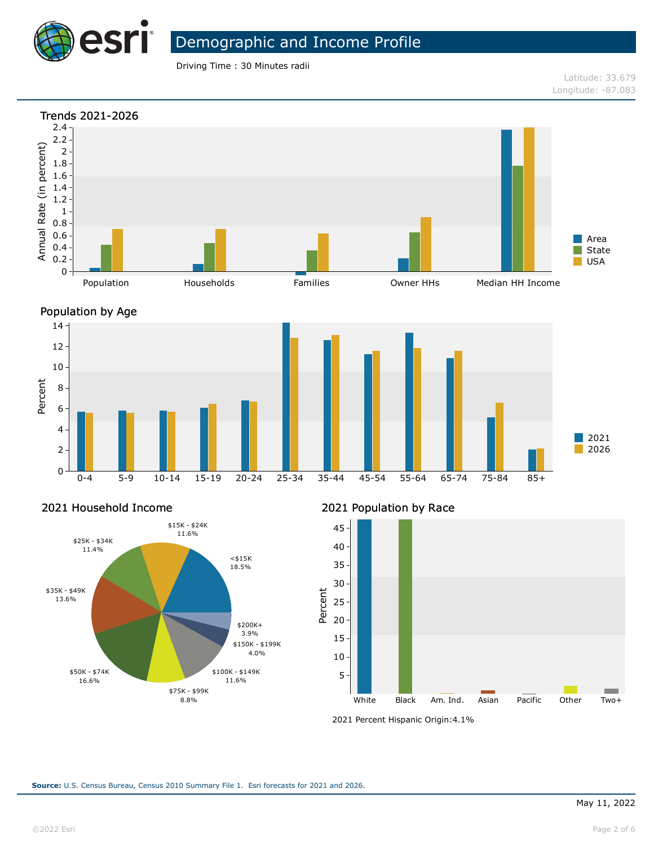

Driving Time : 30 Minutes radii

Latitude: 33.679 Longitude: -87.083





### 2021 Household Income



2021 Population by Race



<sup>2021</sup> Percent Hispanic Origin: 4.1%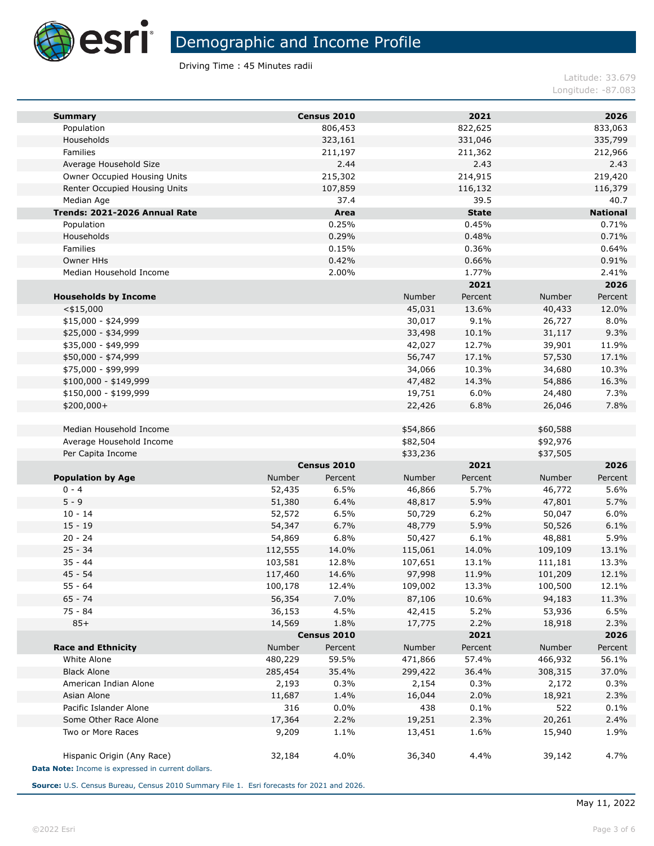

Driving Time : 45 Minutes radii

Latitude: 33.679 Longitude: -87.083

| <b>Summary</b>                                     |         | Census 2010 |          | 2021         |          | 2026            |
|----------------------------------------------------|---------|-------------|----------|--------------|----------|-----------------|
| Population                                         |         | 806,453     |          | 822,625      |          | 833,063         |
| Households                                         |         | 323,161     |          | 331,046      |          | 335,799         |
| Families                                           |         | 211,197     |          | 211,362      |          | 212,966         |
| Average Household Size                             |         | 2.44        |          | 2.43         |          | 2.43            |
| Owner Occupied Housing Units                       |         | 215,302     |          | 214,915      |          | 219,420         |
| Renter Occupied Housing Units                      |         | 107,859     |          | 116,132      |          | 116,379         |
| Median Age                                         |         | 37.4        |          | 39.5         |          | 40.7            |
| Trends: 2021-2026 Annual Rate                      |         | Area        |          | <b>State</b> |          | <b>National</b> |
| Population                                         |         | 0.25%       |          | 0.45%        |          | 0.71%           |
| Households                                         |         | 0.29%       |          | 0.48%        |          | 0.71%           |
| Families                                           |         | 0.15%       |          | 0.36%        |          | 0.64%           |
| Owner HHs                                          |         | 0.42%       |          | 0.66%        |          | 0.91%           |
| Median Household Income                            |         | 2.00%       |          | 1.77%        |          | 2.41%           |
|                                                    |         |             |          | 2021         |          | 2026            |
| <b>Households by Income</b>                        |         |             | Number   | Percent      | Number   | Percent         |
| $<$ \$15,000                                       |         |             | 45,031   | 13.6%        | 40,433   | 12.0%           |
| $$15,000 - $24,999$                                |         |             | 30,017   | 9.1%         | 26,727   | 8.0%            |
| \$25,000 - \$34,999                                |         |             | 33,498   | 10.1%        | 31,117   | 9.3%            |
| \$35,000 - \$49,999                                |         |             | 42,027   | 12.7%        | 39,901   | 11.9%           |
| \$50,000 - \$74,999                                |         |             | 56,747   | 17.1%        | 57,530   | 17.1%           |
| \$75,000 - \$99,999                                |         |             | 34,066   | 10.3%        | 34,680   | 10.3%           |
| $$100,000 - $149,999$                              |         |             | 47,482   | 14.3%        | 54,886   | 16.3%           |
| \$150,000 - \$199,999                              |         |             | 19,751   | 6.0%         | 24,480   | 7.3%            |
| \$200,000+                                         |         |             | 22,426   | 6.8%         | 26,046   | 7.8%            |
|                                                    |         |             |          |              |          |                 |
| Median Household Income                            |         |             | \$54,866 |              | \$60,588 |                 |
| Average Household Income                           |         |             | \$82,504 |              | \$92,976 |                 |
| Per Capita Income                                  |         |             | \$33,236 |              | \$37,505 |                 |
|                                                    |         | Census 2010 |          | 2021         |          | 2026            |
| <b>Population by Age</b>                           | Number  | Percent     | Number   | Percent      | Number   | Percent         |
| $0 - 4$                                            | 52,435  | 6.5%        | 46,866   | 5.7%         | 46,772   | 5.6%            |
| $5 - 9$                                            | 51,380  | 6.4%        | 48,817   | 5.9%         | 47,801   | 5.7%            |
| $10 - 14$                                          | 52,572  | 6.5%        | 50,729   | 6.2%         | 50,047   | 6.0%            |
| $15 - 19$                                          | 54,347  | 6.7%        | 48,779   | 5.9%         | 50,526   | 6.1%            |
| $20 - 24$                                          | 54,869  | 6.8%        | 50,427   | 6.1%         | 48,881   | 5.9%            |
| $25 - 34$                                          | 112,555 | 14.0%       | 115,061  | 14.0%        | 109,109  | 13.1%           |
| $35 - 44$                                          | 103,581 | 12.8%       | 107,651  | 13.1%        | 111,181  | 13.3%           |
| $45 - 54$                                          | 117,460 | 14.6%       | 97,998   | 11.9%        | 101,209  | 12.1%           |
| $55 - 64$                                          | 100,178 | 12.4%       | 109,002  | 13.3%        | 100,500  | 12.1%           |
| $65 - 74$                                          | 56,354  | 7.0%        | 87,106   | 10.6%        | 94,183   | 11.3%           |
| 75 - 84                                            | 36,153  | 4.5%        | 42,415   | 5.2%         | 53,936   | 6.5%            |
| $85+$                                              | 14,569  | 1.8%        | 17,775   | 2.2%         | 18,918   | 2.3%            |
|                                                    |         | Census 2010 |          | 2021         |          | 2026            |
| <b>Race and Ethnicity</b>                          | Number  | Percent     | Number   | Percent      | Number   | Percent         |
| White Alone                                        | 480,229 | 59.5%       | 471,866  | 57.4%        | 466,932  | 56.1%           |
| <b>Black Alone</b>                                 | 285,454 | 35.4%       | 299,422  | 36.4%        | 308,315  | 37.0%           |
| American Indian Alone                              | 2,193   | 0.3%        | 2,154    | 0.3%         | 2,172    | 0.3%            |
| Asian Alone                                        | 11,687  | 1.4%        | 16,044   | 2.0%         | 18,921   | 2.3%            |
| Pacific Islander Alone                             | 316     | 0.0%        | 438      | 0.1%         | 522      | 0.1%            |
| Some Other Race Alone                              | 17,364  | 2.2%        | 19,251   | 2.3%         | 20,261   | 2.4%            |
| Two or More Races                                  | 9,209   | 1.1%        | 13,451   | 1.6%         | 15,940   | 1.9%            |
|                                                    |         |             |          |              |          |                 |
| Hispanic Origin (Any Race)                         | 32,184  | 4.0%        | 36,340   | 4.4%         | 39,142   | 4.7%            |
| Data Note: Income is expressed in current dollars. |         |             |          |              |          |                 |

**Source:** U.S. Census Bureau, Census 2010 Summary File 1. Esri forecasts for 2021 and 2026.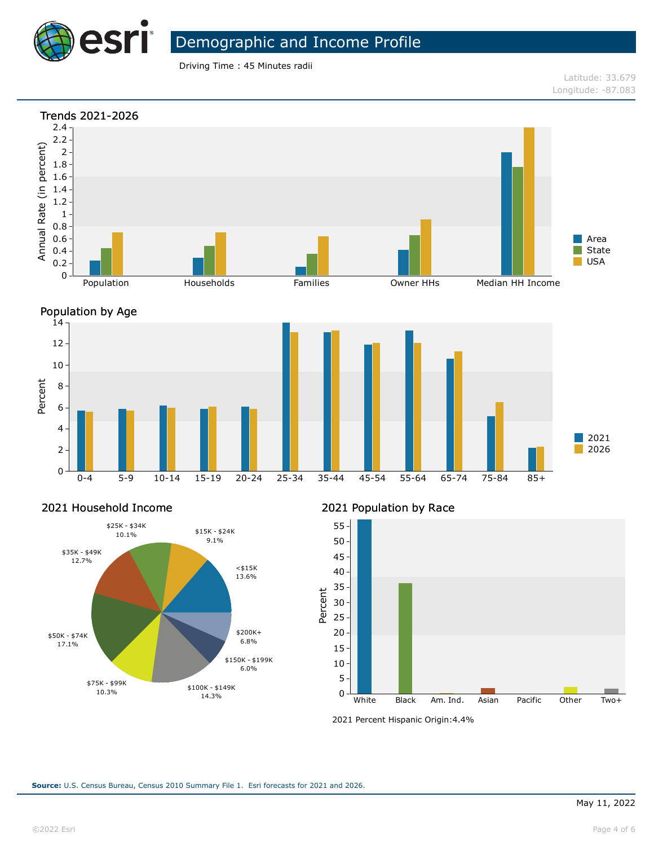

Driving Time : 45 Minutes radii

Latitude: 33.679 Longitude: -87.083





#### 2021 Household Income



2021 Population by Race



<sup>2021</sup> Percent Hispanic Origin: 4.4%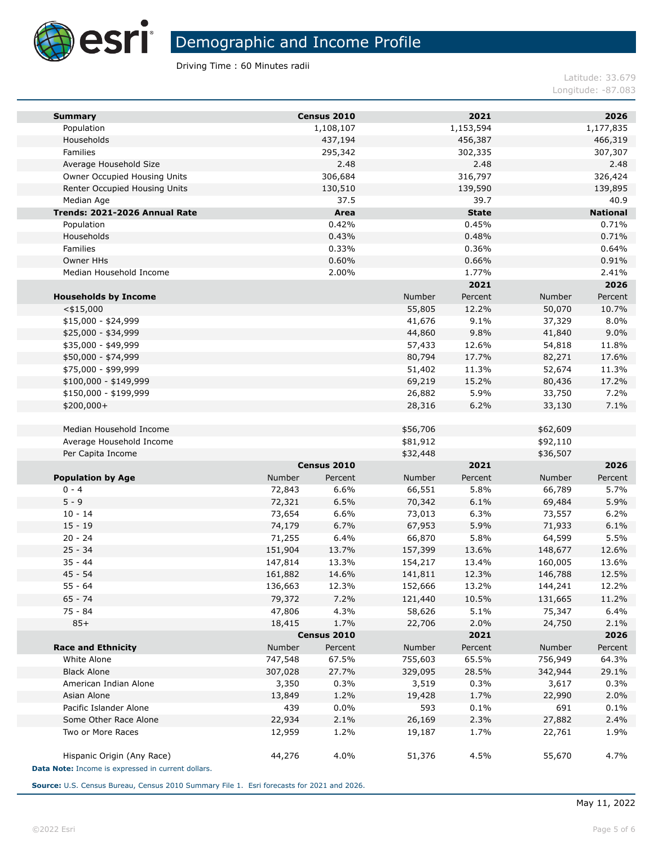

Driving Time : 60 Minutes radii

Latitude: 33.679 Longitude: -87.083

| <b>Summary</b>                                     |                    | Census 2010            |                    | 2021          |                    | 2026             |
|----------------------------------------------------|--------------------|------------------------|--------------------|---------------|--------------------|------------------|
| Population                                         |                    | 1,108,107              |                    | 1,153,594     |                    | 1,177,835        |
| Households                                         |                    | 437,194                |                    | 456,387       |                    | 466,319          |
| Families                                           |                    | 295,342                |                    | 302,335       |                    | 307,307          |
| Average Household Size                             |                    | 2.48                   |                    | 2.48          |                    | 2.48             |
| Owner Occupied Housing Units                       |                    | 306,684                |                    | 316,797       |                    | 326,424          |
| Renter Occupied Housing Units                      |                    | 130,510                |                    | 139,590       |                    | 139,895          |
| Median Age                                         |                    | 37.5                   |                    | 39.7          |                    | 40.9             |
| Trends: 2021-2026 Annual Rate                      |                    | Area                   |                    | <b>State</b>  |                    | <b>National</b>  |
| Population                                         |                    | 0.42%                  |                    | 0.45%         |                    | 0.71%            |
| Households                                         |                    | 0.43%                  |                    | 0.48%         |                    | 0.71%            |
| Families                                           |                    | 0.33%                  |                    | 0.36%         |                    | 0.64%            |
| Owner HHs                                          |                    | 0.60%                  |                    | 0.66%         |                    | 0.91%            |
| Median Household Income                            |                    | 2.00%                  |                    | 1.77%         |                    | 2.41%            |
|                                                    |                    |                        |                    | 2021          |                    | 2026             |
| <b>Households by Income</b>                        |                    |                        | Number             | Percent       | Number             | Percent          |
| $<$ \$15,000                                       |                    |                        | 55,805             | 12.2%         | 50,070             | 10.7%            |
| $$15,000 - $24,999$                                |                    |                        | 41,676             | 9.1%          | 37,329             | 8.0%             |
| \$25,000 - \$34,999                                |                    |                        | 44,860             | 9.8%          | 41,840             | 9.0%             |
| \$35,000 - \$49,999                                |                    |                        | 57,433             | 12.6%         | 54,818             | 11.8%            |
| \$50,000 - \$74,999                                |                    |                        | 80,794             | 17.7%         | 82,271             | 17.6%            |
| \$75,000 - \$99,999                                |                    |                        | 51,402             | 11.3%         | 52,674             | 11.3%            |
| $$100,000 - $149,999$                              |                    |                        | 69,219             | 15.2%         | 80,436             | 17.2%            |
| \$150,000 - \$199,999                              |                    |                        | 26,882             | 5.9%          | 33,750             | 7.2%             |
| \$200,000+                                         |                    |                        | 28,316             | 6.2%          | 33,130             | 7.1%             |
|                                                    |                    |                        |                    |               |                    |                  |
| Median Household Income                            |                    |                        | \$56,706           |               | \$62,609           |                  |
| Average Household Income                           |                    |                        | \$81,912           |               | \$92,110           |                  |
| Per Capita Income                                  |                    |                        | \$32,448           |               | \$36,507           |                  |
|                                                    |                    | Census 2010            |                    | 2021          |                    | 2026             |
| <b>Population by Age</b>                           | Number             | Percent                | Number             | Percent       | Number             | Percent          |
| $0 - 4$                                            | 72,843             | 6.6%                   | 66,551             | 5.8%          | 66,789             | 5.7%             |
| $5 - 9$                                            | 72,321             | 6.5%                   | 70,342             | 6.1%          | 69,484             | 5.9%             |
| $10 - 14$<br>$15 - 19$                             | 73,654             | 6.6%                   | 73,013             | 6.3%          | 73,557             | 6.2%             |
| $20 - 24$                                          | 74,179             | 6.7%<br>6.4%           | 67,953             | 5.9%          | 71,933             | 6.1%             |
| $25 - 34$                                          | 71,255<br>151,904  | 13.7%                  | 66,870             | 5.8%<br>13.6% | 64,599             | 5.5%<br>12.6%    |
| $35 - 44$                                          |                    | 13.3%                  | 157,399            | 13.4%         | 148,677<br>160,005 | 13.6%            |
| $45 - 54$                                          | 147,814<br>161,882 | 14.6%                  | 154,217<br>141,811 | 12.3%         | 146,788            | 12.5%            |
| 55 - 64                                            | 136,663            | 12.3%                  | 152,666            | 13.2%         | 144,241            | 12.2%            |
| $65 - 74$                                          |                    | 7.2%                   |                    |               |                    | 11.2%            |
| 75 - 84                                            | 79,372             |                        | 121,440            | 10.5%<br>5.1% | 131,665<br>75,347  |                  |
|                                                    | 47,806             | 4.3%                   | 58,626             |               |                    | 6.4%             |
| $85+$                                              | 18,415             | 1.7%                   | 22,706             | 2.0%<br>2021  | 24,750             | 2.1%             |
| <b>Race and Ethnicity</b>                          | Number             | Census 2010<br>Percent | Number             | Percent       | Number             | 2026             |
| White Alone                                        | 747,548            | 67.5%                  | 755,603            | 65.5%         | 756,949            | Percent<br>64.3% |
| <b>Black Alone</b>                                 | 307,028            | 27.7%                  | 329,095            | 28.5%         | 342,944            | 29.1%            |
| American Indian Alone                              | 3,350              | 0.3%                   | 3,519              | 0.3%          | 3,617              | 0.3%             |
| Asian Alone                                        | 13,849             | 1.2%                   | 19,428             | 1.7%          | 22,990             | 2.0%             |
| Pacific Islander Alone                             | 439                | 0.0%                   | 593                | 0.1%          | 691                | 0.1%             |
| Some Other Race Alone                              | 22,934             | 2.1%                   | 26,169             | 2.3%          | 27,882             | 2.4%             |
| Two or More Races                                  | 12,959             | 1.2%                   | 19,187             | 1.7%          | 22,761             | 1.9%             |
|                                                    |                    |                        |                    |               |                    |                  |
| Hispanic Origin (Any Race)                         | 44,276             | 4.0%                   | 51,376             | 4.5%          | 55,670             | 4.7%             |
| Data Note: Income is expressed in current dollars. |                    |                        |                    |               |                    |                  |
|                                                    |                    |                        |                    |               |                    |                  |

**Source:** U.S. Census Bureau, Census 2010 Summary File 1. Esri forecasts for 2021 and 2026.